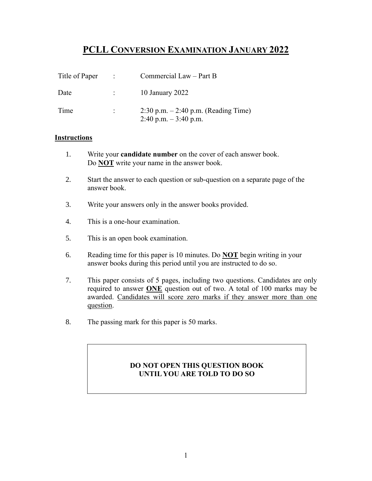# **PCLL CONVERSION EXAMINATION JANUARY 2022**

| Title of Paper | $\sim 1000$ km $^{-1}$ | Commercial Law - Part B                                           |
|----------------|------------------------|-------------------------------------------------------------------|
| Date           |                        | 10 January 2022                                                   |
| Time           |                        | $2:30$ p.m. $-2:40$ p.m. (Reading Time)<br>2:40 p.m. $-3:40$ p.m. |

### **Instructions**

- 1. Write your **candidate number** on the cover of each answer book. Do **NOT** write your name in the answer book.
- 2. Start the answer to each question or sub-question on a separate page of the answer book.
- 3. Write your answers only in the answer books provided.
- 4. This is a one-hour examination.
- 5. This is an open book examination.
- 6. Reading time for this paper is 10 minutes. Do **NOT** begin writing in your answer books during this period until you are instructed to do so.
- 7. This paper consists of 5 pages, including two questions. Candidates are only required to answer **ONE** question out of two. A total of 100 marks may be awarded. Candidates will score zero marks if they answer more than one question.
- 8. The passing mark for this paper is 50 marks.

## **DO NOT OPEN THIS QUESTION BOOK UNTIL YOU ARE TOLD TO DO SO**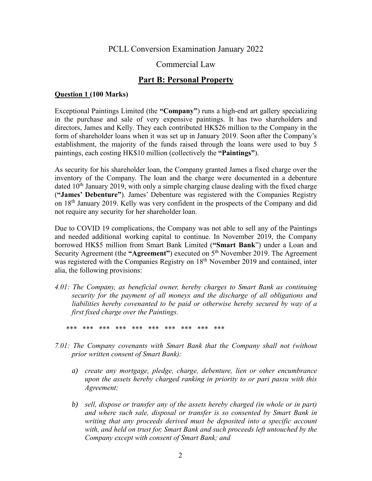## PCLL Conversion Examination January 2022

## Commercial Law

## **Part B: Personal Property**

### **Question 1 (100 Marks)**

Exceptional Paintings Limited (the **"Company"**) runs a high-end art gallery specializing in the purchase and sale of very expensive paintings. It has two shareholders and directors, James and Kelly. They each contributed HK\$26 million to the Company in the form of shareholder loans when it was set up in January 2019. Soon after the Company's establishment, the majority of the funds raised through the loans were used to buy 5 paintings, each costing HK\$10 million (collectively the **"Paintings"**).

As security for his shareholder loan, the Company granted James a fixed charge over the inventory of the Company. The loan and the charge were documented in a debenture dated  $10<sup>th</sup>$  January 2019, with only a simple charging clause dealing with the fixed charge (**"James' Debenture"**). James' Debenture was registered with the Companies Registry on 18<sup>th</sup> January 2019. Kelly was very confident in the prospects of the Company and did not require any security for her shareholder loan.

Due to COVID 19 complications, the Company was not able to sell any of the Paintings and needed additional working capital to continue. In November 2019, the Company borrowed HK\$5 million from Smart Bank Limited (**"Smart Bank**") under a Loan and Security Agreement (the "Agreement") executed on  $5<sup>th</sup>$  November 2019. The Agreement was registered with the Companies Registry on 18<sup>th</sup> November 2019 and contained, inter alia, the following provisions:

- *4.01: The Company, as beneficial owner, hereby charges to Smart Bank as continuing security for the payment of all moneys and the discharge of all obligations and liabilities hereby covenanted to be paid or otherwise hereby secured by way of a first fixed charge over the Paintings.* 
	- *\*\*\* \*\*\* \*\*\* \*\*\* \*\*\* \*\*\* \*\*\* \*\*\* \*\*\* \*\*\**
- *7.01: The Company covenants with Smart Bank that the Company shall not (without prior written consent of Smart Bank):*
	- *a) create any mortgage, pledge, charge, debenture, lien or other encumbrance upon the assets hereby charged ranking in priority to or pari passu with this Agreement;*
	- *b) sell, dispose or transfer any of the assets hereby charged (in whole or in part) and where such sale, disposal or transfer is so consented by Smart Bank in writing that any proceeds derived must be deposited into a specific account with, and held on trust for, Smart Bank and such proceeds left untouched by the Company except with consent of Smart Bank; and*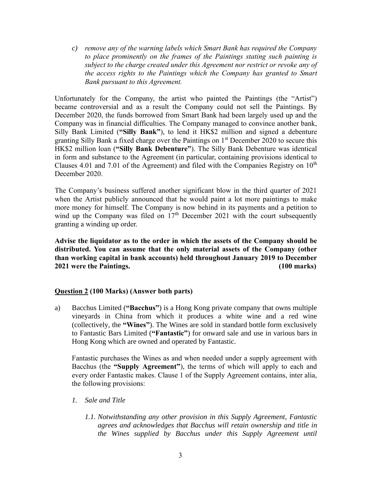*c) remove any of the warning labels which Smart Bank has required the Company to place prominently on the frames of the Paintings stating such painting is subject to the charge created under this Agreement nor restrict or revoke any of the access rights to the Paintings which the Company has granted to Smart Bank pursuant to this Agreement.*

Unfortunately for the Company, the artist who painted the Paintings (the "Artist") became controversial and as a result the Company could not sell the Paintings. By December 2020, the funds borrowed from Smart Bank had been largely used up and the Company was in financial difficulties. The Company managed to convince another bank, Silly Bank Limited (**"Silly Bank"**), to lend it HK\$2 million and signed a debenture granting Silly Bank a fixed charge over the Paintings on  $1<sup>st</sup>$  December 2020 to secure this HK\$2 million loan (**"Silly Bank Debenture"**). The Silly Bank Debenture was identical in form and substance to the Agreement (in particular, containing provisions identical to Clauses 4.01 and 7.01 of the Agreement) and filed with the Companies Registry on  $10<sup>th</sup>$ December 2020.

The Company's business suffered another significant blow in the third quarter of 2021 when the Artist publicly announced that he would paint a lot more paintings to make more money for himself. The Company is now behind in its payments and a petition to wind up the Company was filed on  $17<sup>th</sup>$  December 2021 with the court subsequently granting a winding up order.

**Advise the liquidator as to the order in which the assets of the Company should be distributed. You can assume that the only material assets of the Company (other than working capital in bank accounts) held throughout January 2019 to December 2021 were the Paintings. (100 marks)**

#### **Question 2 (100 Marks) (Answer both parts)**

a) Bacchus Limited (**"Bacchus"**) is a Hong Kong private company that owns multiple vineyards in China from which it produces a white wine and a red wine (collectively, the **"Wines"**). The Wines are sold in standard bottle form exclusively to Fantastic Bars Limited (**"Fantastic"**) for onward sale and use in various bars in Hong Kong which are owned and operated by Fantastic.

Fantastic purchases the Wines as and when needed under a supply agreement with Bacchus (the **"Supply Agreement"**), the terms of which will apply to each and every order Fantastic makes. Clause 1 of the Supply Agreement contains, inter alia, the following provisions:

- *1. Sale and Title*
	- *1.1. Notwithstanding any other provision in this Supply Agreement, Fantastic agrees and acknowledges that Bacchus will retain ownership and title in the Wines supplied by Bacchus under this Supply Agreement until*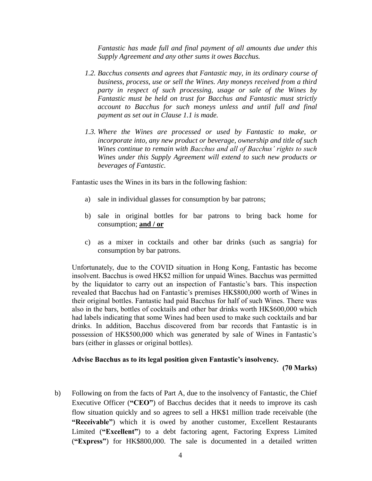*Fantastic has made full and final payment of all amounts due under this Supply Agreement and any other sums it owes Bacchus.*

- *1.2. Bacchus consents and agrees that Fantastic may, in its ordinary course of business, process, use or sell the Wines. Any moneys received from a third party in respect of such processing, usage or sale of the Wines by Fantastic must be held on trust for Bacchus and Fantastic must strictly account to Bacchus for such moneys unless and until full and final payment as set out in Clause 1.1 is made.*
- *1.3. Where the Wines are processed or used by Fantastic to make, or incorporate into, any new product or beverage, ownership and title of such Wines continue to remain with Bacchus and all of Bacchus' rights to such Wines under this Supply Agreement will extend to such new products or beverages of Fantastic.*

Fantastic uses the Wines in its bars in the following fashion:

- a) sale in individual glasses for consumption by bar patrons;
- b) sale in original bottles for bar patrons to bring back home for consumption; **and / or**
- c) as a mixer in cocktails and other bar drinks (such as sangria) for consumption by bar patrons.

Unfortunately, due to the COVID situation in Hong Kong, Fantastic has become insolvent. Bacchus is owed HK\$2 million for unpaid Wines. Bacchus was permitted by the liquidator to carry out an inspection of Fantastic's bars. This inspection revealed that Bacchus had on Fantastic's premises HK\$800,000 worth of Wines in their original bottles. Fantastic had paid Bacchus for half of such Wines. There was also in the bars, bottles of cocktails and other bar drinks worth HK\$600,000 which had labels indicating that some Wines had been used to make such cocktails and bar drinks. In addition, Bacchus discovered from bar records that Fantastic is in possession of HK\$500,000 which was generated by sale of Wines in Fantastic's bars (either in glasses or original bottles).

## **Advise Bacchus as to its legal position given Fantastic's insolvency.**

 **(70 Marks)**

b) Following on from the facts of Part A, due to the insolvency of Fantastic, the Chief Executive Officer (**"CEO"**) of Bacchus decides that it needs to improve its cash flow situation quickly and so agrees to sell a HK\$1 million trade receivable (the **"Receivable"**) which it is owed by another customer, Excellent Restaurants Limited (**"Excellent"**) to a debt factoring agent, Factoring Express Limited (**"Express"**) for HK\$800,000. The sale is documented in a detailed written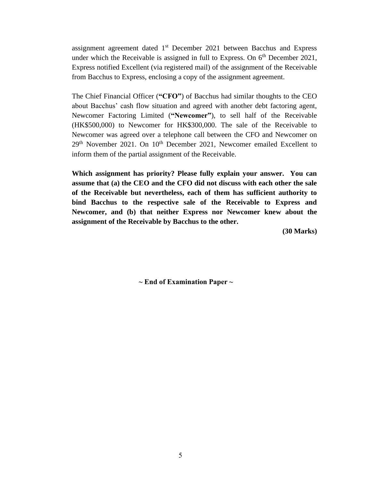assignment agreement dated  $1<sup>st</sup>$  December 2021 between Bacchus and Express under which the Receivable is assigned in full to Express. On  $6<sup>th</sup>$  December 2021, Express notified Excellent (via registered mail) of the assignment of the Receivable from Bacchus to Express, enclosing a copy of the assignment agreement.

The Chief Financial Officer (**"CFO"**) of Bacchus had similar thoughts to the CEO about Bacchus' cash flow situation and agreed with another debt factoring agent, Newcomer Factoring Limited (**"Newcomer"**), to sell half of the Receivable (HK\$500,000) to Newcomer for HK\$300,000. The sale of the Receivable to Newcomer was agreed over a telephone call between the CFO and Newcomer on 29<sup>th</sup> November 2021. On 10<sup>th</sup> December 2021, Newcomer emailed Excellent to inform them of the partial assignment of the Receivable.

**Which assignment has priority? Please fully explain your answer. You can assume that (a) the CEO and the CFO did not discuss with each other the sale of the Receivable but nevertheless, each of them has sufficient authority to bind Bacchus to the respective sale of the Receivable to Express and Newcomer, and (b) that neither Express nor Newcomer knew about the assignment of the Receivable by Bacchus to the other.** 

 **(30 Marks)**

**~ End of Examination Paper ~**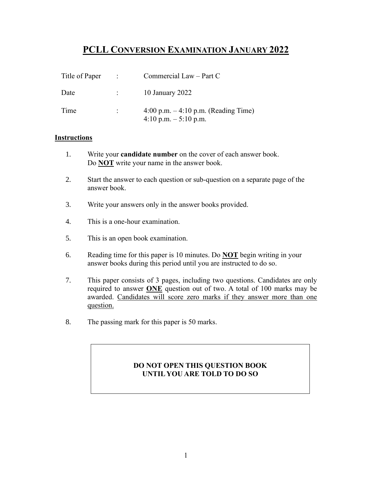# **PCLL CONVERSION EXAMINATION JANUARY 2022**

| Title of Paper | $\sim 100$ | Commercial Law - Part C                                         |
|----------------|------------|-----------------------------------------------------------------|
| Date           |            | 10 January 2022                                                 |
| Time           |            | 4:00 p.m. $-4:10$ p.m. (Reading Time)<br>4:10 p.m. $-5:10$ p.m. |

### **Instructions**

- 1. Write your **candidate number** on the cover of each answer book. Do **NOT** write your name in the answer book.
- 2. Start the answer to each question or sub-question on a separate page of the answer book.
- 3. Write your answers only in the answer books provided.
- 4. This is a one-hour examination.
- 5. This is an open book examination.
- 6. Reading time for this paper is 10 minutes. Do **NOT** begin writing in your answer books during this period until you are instructed to do so.
- 7. This paper consists of 3 pages, including two questions. Candidates are only required to answer **ONE** question out of two. A total of 100 marks may be awarded. Candidates will score zero marks if they answer more than one question.
- 8. The passing mark for this paper is 50 marks.

## **DO NOT OPEN THIS QUESTION BOOK UNTIL YOU ARE TOLD TO DO SO**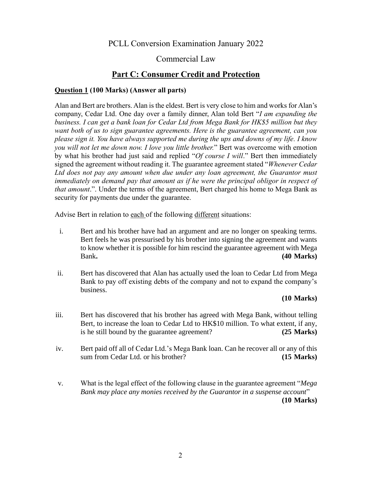PCLL Conversion Examination January 2022

## Commercial Law

# **Part C: Consumer Credit and Protection**

### **Question 1 (100 Marks) (Answer all parts)**

Alan and Bert are brothers. Alan is the eldest. Bert is very close to him and works for Alan's company, Cedar Ltd. One day over a family dinner, Alan told Bert "*I am expanding the business. I can get a bank loan for Cedar Ltd from Mega Bank for HK\$5 million but they want both of us to sign guarantee agreements. Here is the guarantee agreement, can you please sign it. You have always supported me during the ups and downs of my life. I know you will not let me down now. I love you little brother.*" Bert was overcome with emotion by what his brother had just said and replied "*Of course I will*." Bert then immediately signed the agreement without reading it. The guarantee agreement stated "*Whenever Cedar Ltd does not pay any amount when due under any loan agreement, the Guarantor must immediately on demand pay that amount as if he were the principal obligor in respect of that amount*.". Under the terms of the agreement, Bert charged his home to Mega Bank as security for payments due under the guarantee.

Advise Bert in relation to each of the following different situations:

- i. Bert and his brother have had an argument and are no longer on speaking terms. Bert feels he was pressurised by his brother into signing the agreement and wants to know whether it is possible for him rescind the guarantee agreement with Mega Bank**. (40 Marks)**
- ii. Bert has discovered that Alan has actually used the loan to Cedar Ltd from Mega Bank to pay off existing debts of the company and not to expand the company's business.

#### **(10 Marks)**

- iii. Bert has discovered that his brother has agreed with Mega Bank, without telling Bert, to increase the loan to Cedar Ltd to HK\$10 million. To what extent, if any, is he still bound by the guarantee agreement? **(25 Marks)**
- iv. Bert paid off all of Cedar Ltd.'s Mega Bank loan. Can he recover all or any of this sum from Cedar Ltd. or his brother? **(15 Marks)**
- v. What is the legal effect of the following clause in the guarantee agreement "*Mega Bank may place any monies received by the Guarantor in a suspense account*" **(10 Marks)**